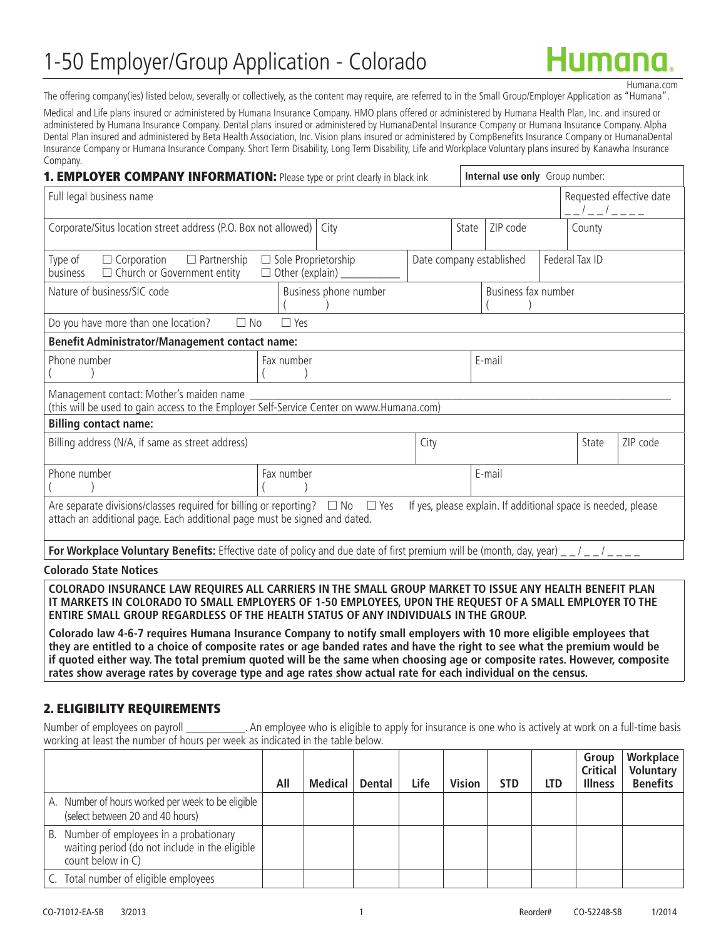# 1-50 Employer/Group Application - Colorado

Humana.com

The offering company(ies) listed below, severally or collectively, as the content may require, are referred to in the Small Group/Employer Application as "Humana".

Medical and Life plans insured or administered by Humana Insurance Company. HMO plans offered or administered by Humana Health Plan, Inc. and insured or administered by Humana Insurance Company. Dental plans insured or administered by HumanaDental Insurance Company or Humana Insurance Company. Alpha Dental Plan insured and administered by Beta Health Association, Inc. Vision plans insured or administered by CompBenefits Insurance Company or HumanaDental Insurance Company or Humana Insurance Company. Short Term Disability, Long Term Disability, Life and Workplace Voluntary plans insured by Kanawha Insurance Company.

| 1. EMPLOYER COMPANY INFORMATION: Please type or print clearly in black ink                                                                                                                                                           |                            |      |                   |                          | Internal use only Group number: |  |                     |                          |
|--------------------------------------------------------------------------------------------------------------------------------------------------------------------------------------------------------------------------------------|----------------------------|------|-------------------|--------------------------|---------------------------------|--|---------------------|--------------------------|
| Full legal business name                                                                                                                                                                                                             |                            |      |                   |                          |                                 |  | _ _ / _ _ / _ _ _ _ | Requested effective date |
| Corporate/Situs location street address (P.O. Box not allowed)                                                                                                                                                                       |                            | City | ZIP code<br>State |                          |                                 |  | County              |                          |
| Type of<br>$\Box$ Partnership<br>$\Box$ Corporation<br>$\Box$ Church or Government entity<br>business                                                                                                                                | $\Box$ Sole Proprietorship |      |                   | Date company established |                                 |  | Federal Tax ID      |                          |
| Nature of business/SIC code                                                                                                                                                                                                          | Business phone number      |      |                   | Business fax number      |                                 |  |                     |                          |
| Do you have more than one location?<br>$\square$ No                                                                                                                                                                                  | $\Box$ Yes                 |      |                   |                          |                                 |  |                     |                          |
| <b>Benefit Administrator/Management contact name:</b>                                                                                                                                                                                |                            |      |                   |                          |                                 |  |                     |                          |
| Phone number                                                                                                                                                                                                                         | E-mail<br>Fax number       |      |                   |                          |                                 |  |                     |                          |
| Management contact: Mother's maiden name<br>(this will be used to gain access to the Employer Self-Service Center on www.Humana.com)                                                                                                 |                            |      |                   |                          |                                 |  |                     |                          |
| <b>Billing contact name:</b>                                                                                                                                                                                                         |                            |      |                   |                          |                                 |  |                     |                          |
| Billing address (N/A, if same as street address)                                                                                                                                                                                     |                            |      | City              |                          |                                 |  | State               | ZIP code                 |
| Phone number                                                                                                                                                                                                                         | Fax number                 |      |                   |                          | E-mail                          |  |                     |                          |
| Are separate divisions/classes required for billing or reporting? $\Box$ No $\Box$ Yes<br>If yes, please explain. If additional space is needed, please<br>attach an additional page. Each additional page must be signed and dated. |                            |      |                   |                          |                                 |  |                     |                          |
| For Workplace Voluntary Benefits: Effective date of policy and due date of first premium will be (month, day, year) $\frac{1}{2}$ $\frac{1}{2}$ $\frac{1}{2}$ $\frac{1}{2}$                                                          |                            |      |                   |                          |                                 |  |                     |                          |

#### **Colorado State Notices**

**COLORADO INSURANCE LAW REQUIRES ALL CARRIERS IN THE SMALL GROUP MARKET TO ISSUE ANY HEALTH BENEFIT PLAN IT MARKETS IN COLORADO TO SMALL EMPLOYERS OF 1-50 EMPLOYEES, UPON THE REQUEST OF A SMALL EMPLOYER TO THE ENTIRE SMALL GROUP REGARDLESS OF THE HEALTH STATUS OF ANY INDIVIDUALS IN THE GROUP.** 

**Colorado law 4-6-7 requires Humana Insurance Company to notify small employers with 10 more eligible employees that they are entitled to a choice of composite rates or age banded rates and have the right to see what the premium would be if quoted either way. The total premium quoted will be the same when choosing age or composite rates. However, composite rates show average rates by coverage type and age rates show actual rate for each individual on the census.**

#### 2. ELIGIBILITY REQUIREMENTS

Number of employees on payroll \_\_\_\_\_\_\_\_\_\_. An employee who is eligible to apply for insurance is one who is actively at work on a full-time basis working at least the number of hours per week as indicated in the table below.

|                                                                                                                 | All | Medical $\mathsf{\mid}$ | Dental | Life | <b>Vision</b> | <b>STD</b> | <b>LTD</b> | Group<br>Critical<br><b>Illness</b> | Workplace<br>Voluntary<br><b>Benefits</b> |
|-----------------------------------------------------------------------------------------------------------------|-----|-------------------------|--------|------|---------------|------------|------------|-------------------------------------|-------------------------------------------|
| A. Number of hours worked per week to be eligible<br>(select between 20 and 40 hours)                           |     |                         |        |      |               |            |            |                                     |                                           |
| B. Number of employees in a probationary<br>waiting period (do not include in the eligible<br>count below in C) |     |                         |        |      |               |            |            |                                     |                                           |
| C. Total number of eligible employees                                                                           |     |                         |        |      |               |            |            |                                     |                                           |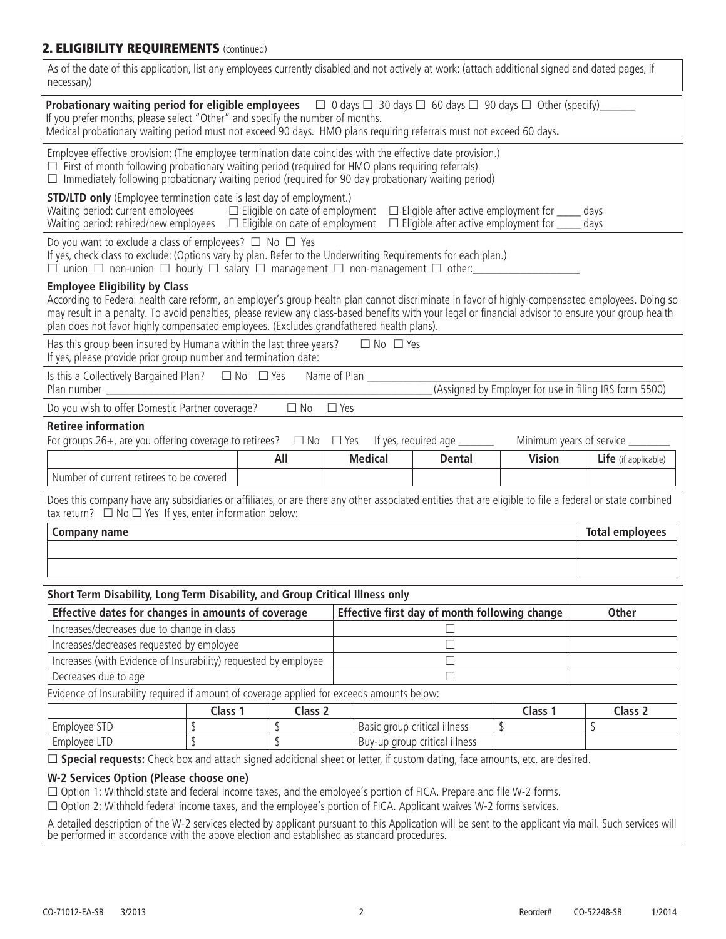# 2. **ELIGIBILITY REQUIREMENTS** (continued)

| As of the date of this application, list any employees currently disabled and not actively at work: (attach additional signed and dated pages, if<br>necessary)                                                                                                                                                                                                                                                                             |                                                                                                                                                                                                                                                                                                                                                     |                |                                               |               |                        |  |  |  |
|---------------------------------------------------------------------------------------------------------------------------------------------------------------------------------------------------------------------------------------------------------------------------------------------------------------------------------------------------------------------------------------------------------------------------------------------|-----------------------------------------------------------------------------------------------------------------------------------------------------------------------------------------------------------------------------------------------------------------------------------------------------------------------------------------------------|----------------|-----------------------------------------------|---------------|------------------------|--|--|--|
|                                                                                                                                                                                                                                                                                                                                                                                                                                             | <b>Probationary waiting period for eligible employees</b> $\Box$ 0 days $\Box$ 30 days $\Box$ 60 days $\Box$ 90 days $\Box$ Other (specify)<br>If you prefer months, please select "Other" and specify the number of months.<br>Medical probationary waiting period must not exceed 90 days. HMO plans requiring referrals must not exceed 60 days. |                |                                               |               |                        |  |  |  |
| Employee effective provision: (The employee termination date coincides with the effective date provision.)<br>$\Box$ First of month following probationary waiting period (required for HMO plans requiring referrals)<br>$\Box$ Immediately following probationary waiting period (required for 90 day probationary waiting period)                                                                                                        |                                                                                                                                                                                                                                                                                                                                                     |                |                                               |               |                        |  |  |  |
| <b>STD/LTD only</b> (Employee termination date is last day of employment.)<br>Waiting period: current employees $\Box$ Eligible on date of employment $\Box$ Eligible after active employment for $\Box$ days<br>Waiting period: rehired/new employees □ Eligible on date of employment □ Eligible after active employment for _____ days                                                                                                   |                                                                                                                                                                                                                                                                                                                                                     |                |                                               |               |                        |  |  |  |
| Do you want to exclude a class of employees? $\Box$ No $\Box$ Yes<br>If yes, check class to exclude: (Options vary by plan. Refer to the Underwriting Requirements for each plan.)                                                                                                                                                                                                                                                          |                                                                                                                                                                                                                                                                                                                                                     |                |                                               |               |                        |  |  |  |
| <b>Employee Eligibility by Class</b><br>According to Federal health care reform, an employer's group health plan cannot discriminate in favor of highly-compensated employees. Doing so<br>may result in a penalty. To avoid penalties, please review any class-based benefits with your legal or financial advisor to ensure your group health<br>plan does not favor highly compensated employees. (Excludes grandfathered health plans). |                                                                                                                                                                                                                                                                                                                                                     |                |                                               |               |                        |  |  |  |
| Has this group been insured by Humana within the last three years? $\square$ No $\square$ Yes<br>If yes, please provide prior group number and termination date:                                                                                                                                                                                                                                                                            |                                                                                                                                                                                                                                                                                                                                                     |                | the control of the control of the control     |               |                        |  |  |  |
| Is this a Collectively Bargained Plan? $\Box$ No $\Box$ Yes Name of Plan ____________<br>(Assigned by Employer for use in filing IRS form 5500)<br>Plan number                                                                                                                                                                                                                                                                              |                                                                                                                                                                                                                                                                                                                                                     |                |                                               |               |                        |  |  |  |
| Do you wish to offer Domestic Partner coverage?                                                                                                                                                                                                                                                                                                                                                                                             | $\Box$ No                                                                                                                                                                                                                                                                                                                                           | $\Box$ Yes     |                                               |               |                        |  |  |  |
| <b>Retiree information</b>                                                                                                                                                                                                                                                                                                                                                                                                                  |                                                                                                                                                                                                                                                                                                                                                     |                |                                               |               |                        |  |  |  |
| For groups 26+, are you offering coverage to retirees? $\Box$ No $\Box$ Yes If yes, required age _______<br>Minimum years of service _____                                                                                                                                                                                                                                                                                                  |                                                                                                                                                                                                                                                                                                                                                     |                |                                               |               |                        |  |  |  |
|                                                                                                                                                                                                                                                                                                                                                                                                                                             |                                                                                                                                                                                                                                                                                                                                                     |                |                                               |               |                        |  |  |  |
|                                                                                                                                                                                                                                                                                                                                                                                                                                             | All                                                                                                                                                                                                                                                                                                                                                 |                |                                               |               |                        |  |  |  |
| Number of current retirees to be covered                                                                                                                                                                                                                                                                                                                                                                                                    |                                                                                                                                                                                                                                                                                                                                                     | <b>Medical</b> | <b>Dental</b>                                 | <b>Vision</b> | Life (if applicable)   |  |  |  |
| Does this company have any subsidiaries or affiliates, or are there any other associated entities that are eligible to file a federal or state combined<br>tax return? $\Box$ No $\Box$ Yes If yes, enter information below:                                                                                                                                                                                                                |                                                                                                                                                                                                                                                                                                                                                     |                |                                               |               |                        |  |  |  |
|                                                                                                                                                                                                                                                                                                                                                                                                                                             |                                                                                                                                                                                                                                                                                                                                                     |                |                                               |               |                        |  |  |  |
| <b>Company name</b>                                                                                                                                                                                                                                                                                                                                                                                                                         |                                                                                                                                                                                                                                                                                                                                                     |                |                                               |               | <b>Total employees</b> |  |  |  |
|                                                                                                                                                                                                                                                                                                                                                                                                                                             |                                                                                                                                                                                                                                                                                                                                                     |                |                                               |               |                        |  |  |  |
|                                                                                                                                                                                                                                                                                                                                                                                                                                             |                                                                                                                                                                                                                                                                                                                                                     |                |                                               |               |                        |  |  |  |
| Short Term Disability, Long Term Disability, and Group Critical Illness only                                                                                                                                                                                                                                                                                                                                                                |                                                                                                                                                                                                                                                                                                                                                     |                |                                               |               |                        |  |  |  |
| Effective dates for changes in amounts of coverage                                                                                                                                                                                                                                                                                                                                                                                          |                                                                                                                                                                                                                                                                                                                                                     |                | Effective first day of month following change |               | <b>Other</b>           |  |  |  |
| Increases/decreases due to change in class                                                                                                                                                                                                                                                                                                                                                                                                  |                                                                                                                                                                                                                                                                                                                                                     |                |                                               |               |                        |  |  |  |
| Increases/decreases requested by employee                                                                                                                                                                                                                                                                                                                                                                                                   |                                                                                                                                                                                                                                                                                                                                                     |                | $\Box$                                        |               |                        |  |  |  |
| Increases (with Evidence of Insurability) requested by employee                                                                                                                                                                                                                                                                                                                                                                             |                                                                                                                                                                                                                                                                                                                                                     |                | $\overline{\phantom{a}}$                      |               |                        |  |  |  |
| Decreases due to age                                                                                                                                                                                                                                                                                                                                                                                                                        |                                                                                                                                                                                                                                                                                                                                                     |                | П                                             |               |                        |  |  |  |
| Evidence of Insurability required if amount of coverage applied for exceeds amounts below:                                                                                                                                                                                                                                                                                                                                                  |                                                                                                                                                                                                                                                                                                                                                     |                |                                               |               |                        |  |  |  |
| Class 1                                                                                                                                                                                                                                                                                                                                                                                                                                     | Class 2                                                                                                                                                                                                                                                                                                                                             |                |                                               | Class 1       | Class <sub>2</sub>     |  |  |  |
| \$<br>Employee STD                                                                                                                                                                                                                                                                                                                                                                                                                          | \$                                                                                                                                                                                                                                                                                                                                                  |                | Basic group critical illness                  | \$            | \$                     |  |  |  |
| $\overline{\mathsf{S}}$<br>Employee LTD                                                                                                                                                                                                                                                                                                                                                                                                     | \$                                                                                                                                                                                                                                                                                                                                                  |                | Buy-up group critical illness                 |               |                        |  |  |  |
| □ Special requests: Check box and attach signed additional sheet or letter, if custom dating, face amounts, etc. are desired.                                                                                                                                                                                                                                                                                                               |                                                                                                                                                                                                                                                                                                                                                     |                |                                               |               |                        |  |  |  |
|                                                                                                                                                                                                                                                                                                                                                                                                                                             |                                                                                                                                                                                                                                                                                                                                                     |                |                                               |               |                        |  |  |  |
| W-2 Services Option (Please choose one)<br>$\Box$ Option 1: Withhold state and federal income taxes, and the employee's portion of FICA. Prepare and file W-2 forms.                                                                                                                                                                                                                                                                        |                                                                                                                                                                                                                                                                                                                                                     |                |                                               |               |                        |  |  |  |
| $\Box$ Option 2: Withhold federal income taxes, and the employee's portion of FICA. Applicant waives W-2 forms services.                                                                                                                                                                                                                                                                                                                    |                                                                                                                                                                                                                                                                                                                                                     |                |                                               |               |                        |  |  |  |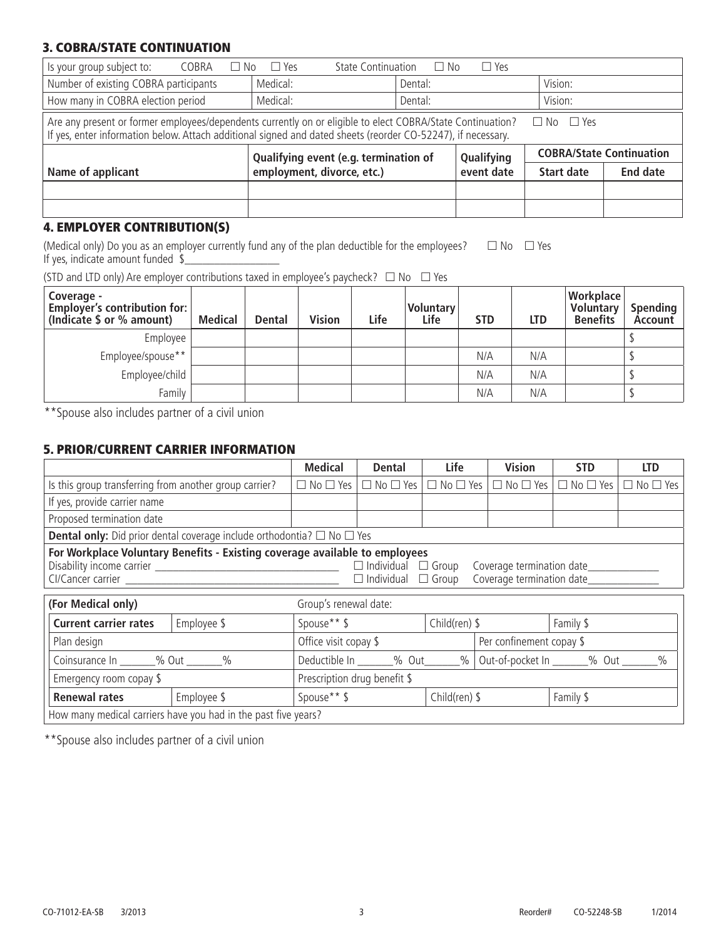#### 3. COBRA/STATE CONTINUATION

| Is your group subject to:<br><b>State Continuation</b><br>COBRA<br>$\Box$ Yes<br>$\Box$ Yes<br>$\Box$ No<br>No.                                                                                                                                    |                                       |            |            |                                 |                 |  |  |  |
|----------------------------------------------------------------------------------------------------------------------------------------------------------------------------------------------------------------------------------------------------|---------------------------------------|------------|------------|---------------------------------|-----------------|--|--|--|
| Number of existing COBRA participants                                                                                                                                                                                                              | Medical:                              | Dental:    |            | Vision:                         |                 |  |  |  |
| How many in COBRA election period                                                                                                                                                                                                                  | Medical:                              | Dental:    |            | Vision:                         |                 |  |  |  |
| Are any present or former employees/dependents currently on or eligible to elect COBRA/State Continuation?<br>$\Box$ No $\Box$ Yes<br>If yes, enter information below. Attach additional signed and dated sheets (reorder CO-52247), if necessary. |                                       |            |            |                                 |                 |  |  |  |
|                                                                                                                                                                                                                                                    | Qualifying event (e.g. termination of | Qualifying |            | <b>COBRA/State Continuation</b> |                 |  |  |  |
| Name of applicant                                                                                                                                                                                                                                  | employment, divorce, etc.)            |            | event date | Start date                      | <b>End date</b> |  |  |  |
|                                                                                                                                                                                                                                                    |                                       |            |            |                                 |                 |  |  |  |
|                                                                                                                                                                                                                                                    |                                       |            |            |                                 |                 |  |  |  |

# 4. EMPLOYER CONTRIBUTION(S)

(Medical only) Do you as an employer currently fund any of the plan deductible for the employees?  $\Box$  No  $\Box$  Yes If yes, indicate amount funded  $\frac{1}{2}$ 

(STD and LTD only) Are employer contributions taxed in employee's paycheck?  $\Box$  No  $\Box$  Yes

| Coverage -<br>Employer's contribution for:<br>(Indicate \$ or % amount) | Medical | <b>Dental</b> | <b>Vision</b> | Life | Voluntary<br>Life | <b>STD</b> | <b>LTD</b> | Workplace<br><b>Voluntary</b><br><b>Benefits</b> | Spending<br>Account |
|-------------------------------------------------------------------------|---------|---------------|---------------|------|-------------------|------------|------------|--------------------------------------------------|---------------------|
| Employee                                                                |         |               |               |      |                   |            |            |                                                  |                     |
| Employee/spouse**                                                       |         |               |               |      |                   | N/A        | N/A        |                                                  |                     |
| Employee/child                                                          |         |               |               |      |                   | N/A        | N/A        |                                                  |                     |
| Family                                                                  |         |               |               |      |                   | N/A        | N/A        |                                                  |                     |

\*\*Spouse also includes partner of a civil union

#### 5. PRIOR/CURRENT CARRIER INFORMATION

|                                                                                                                                                                                                           |                                                                | <b>Medical</b>               | <b>Dental</b>        | Life                 | <b>Vision</b>                                                               | <b>STD</b>               | <b>LTD</b>           |  |  |
|-----------------------------------------------------------------------------------------------------------------------------------------------------------------------------------------------------------|----------------------------------------------------------------|------------------------------|----------------------|----------------------|-----------------------------------------------------------------------------|--------------------------|----------------------|--|--|
| Is this group transferring from another group carrier?                                                                                                                                                    |                                                                | $\Box$ No $\Box$ Yes         | $\Box$ No $\Box$ Yes | $\Box$ No $\Box$ Yes | $\Box$ No $\Box$ Yes                                                        | $\Box$ No $\Box$ Yes     | $\Box$ No $\Box$ Yes |  |  |
| If yes, provide carrier name                                                                                                                                                                              |                                                                |                              |                      |                      |                                                                             |                          |                      |  |  |
| Proposed termination date                                                                                                                                                                                 |                                                                |                              |                      |                      |                                                                             |                          |                      |  |  |
| <b>Dental only:</b> Did prior dental coverage include orthodontia? $\Box$ No $\Box$ Yes                                                                                                                   |                                                                |                              |                      |                      |                                                                             |                          |                      |  |  |
| For Workplace Voluntary Benefits - Existing coverage available to employees<br>Coverage termination date<br>$\Box$ Individual $\Box$ Group<br>Coverage termination date<br>$\Box$ Individual $\Box$ Group |                                                                |                              |                      |                      |                                                                             |                          |                      |  |  |
| (For Medical only)                                                                                                                                                                                        |                                                                | Group's renewal date:        |                      |                      |                                                                             |                          |                      |  |  |
| <b>Current carrier rates</b>                                                                                                                                                                              | Employee \$                                                    | Spouse** \$                  |                      | Child(ren) $$$       |                                                                             | Family \$                |                      |  |  |
| Plan design                                                                                                                                                                                               |                                                                | Office visit copay \$        |                      |                      |                                                                             | Per confinement copay \$ |                      |  |  |
| Coinsurance In _______% Out _______%                                                                                                                                                                      |                                                                |                              |                      |                      | Deductible In _______% Out_______%   Out-of-pocket In _______% Out _______% |                          |                      |  |  |
| Emergency room copay \$                                                                                                                                                                                   |                                                                | Prescription drug benefit \$ |                      |                      |                                                                             |                          |                      |  |  |
| <b>Renewal rates</b>                                                                                                                                                                                      | Employee \$                                                    | Spouse** \$                  |                      | Child(ren) $$$       |                                                                             | Family \$                |                      |  |  |
|                                                                                                                                                                                                           | How many medical carriers have you had in the past five years? |                              |                      |                      |                                                                             |                          |                      |  |  |

\*\*Spouse also includes partner of a civil union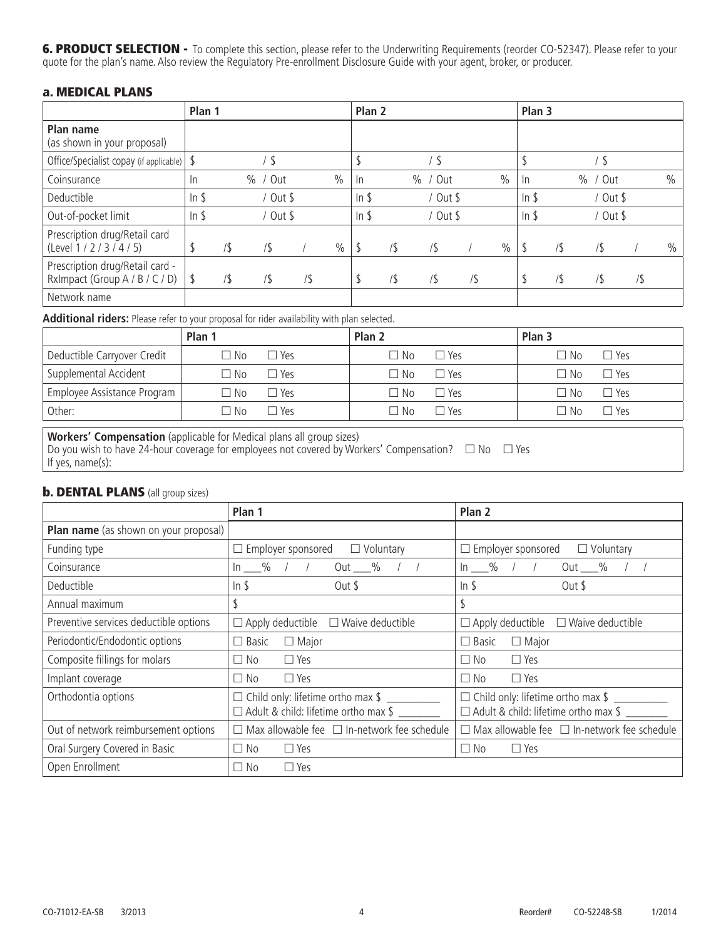6. PRODUCT SELECTION - To complete this section, please refer to the Underwriting Requirements (reorder CO-52347). Please refer to your quote for the plan's name. Also review the Regulatory Pre-enrollment Disclosure Guide with your agent, broker, or producer.

#### a. MEDICAL PLANS

|                                                                   | Plan 1          |     |               |     |               | Plan <sub>2</sub> |   |               |        |      | Plan 3  |        |               |     |               |
|-------------------------------------------------------------------|-----------------|-----|---------------|-----|---------------|-------------------|---|---------------|--------|------|---------|--------|---------------|-----|---------------|
| Plan name<br>(as shown in your proposal)                          |                 |     |               |     |               |                   |   |               |        |      |         |        |               |     |               |
| Office/Specialist copay (if applicable)   \$                      |                 |     | \$            |     |               |                   |   | <sup>\$</sup> |        |      |         |        |               |     |               |
| Coinsurance                                                       | $\ln$           |     | $\%$<br>/ Out |     | $\frac{0}{0}$ | $\ln$             |   | $\%$<br>/ Out |        | $\%$ | In      |        | $\%$<br>' Out |     | $\frac{0}{0}$ |
| Deductible                                                        | In <sub>5</sub> |     | / Out \$      |     |               | In $$$            |   | / Out \$      |        |      | $ln$ \$ |        | Out \$        |     |               |
| Out-of-pocket limit                                               | In <sub>5</sub> |     | / Out \$      |     |               | In $$$            |   | / Out \$      |        |      | In $$$  |        | Out $$$       |     |               |
| Prescription drug/Retail card<br>(Level 1 / 2 / 3 / 4 / 5)        |                 | /\$ | $/$ \$        |     | $\frac{0}{0}$ | \$                | / | /\$           |        | $\%$ | S       | $/$ \$ | /             |     | $\%$          |
| Prescription drug/Retail card -<br>RxImpact (Group A / B / C / D) |                 | /\$ | $/$ \$        | /\$ |               | S                 | / | /\$           | $/$ \$ |      | \$      | $/$ \$ | /\$           | /\$ |               |
| Network name                                                      |                 |     |               |     |               |                   |   |               |        |      |         |        |               |     |               |

**Additional riders:** Please refer to your proposal for rider availability with plan selected.

|                             | Plan 1    |            | Plan <sub>2</sub> |            | Plan 3 |            |
|-----------------------------|-----------|------------|-------------------|------------|--------|------------|
| Deductible Carryover Credit | □ No      | $\Box$ Yes | ⊐ No              | $\Box$ Yes | No     | $\Box$ Yes |
| Supplemental Accident       | $\Box$ No | $\Box$ Yes | ⊐ No              | $\Box$ Yes | ∩ No   | $\Box$ Yes |
| Employee Assistance Program | □ No      | $\Box$ Yes | ⊐ No              | $\Box$ Yes | No.    | ⊃ Υρς      |
| Other:                      | ∩ No      | 7 Yes      | ∐ No              | ∩ Yes      | No.    | ∩ Yes      |

**Workers' Compensation** (applicable for Medical plans all group sizes) Do you wish to have 24-hour coverage for employees not covered by Workers' Compensation?  $\Box$  No  $\Box$  Yes If yes, name(s):

# **b. DENTAL PLANS** (all group sizes)

|                                              | Plan 1                                                                                             | Plan 2                                                                                    |
|----------------------------------------------|----------------------------------------------------------------------------------------------------|-------------------------------------------------------------------------------------------|
| <b>Plan name</b> (as shown on your proposal) |                                                                                                    |                                                                                           |
| Funding type                                 | $\Box$ Voluntary<br>$\Box$ Employer sponsored                                                      | $\Box$ Voluntary<br>$\Box$ Employer sponsored                                             |
| Coinsurance                                  | $\ln \frac{9}{2}$ / /<br>Out %                                                                     | $\ln \frac{9}{6}$ / /<br>Out $\_\_\%$                                                     |
| Deductible                                   | $ln$ \$<br>Out \$                                                                                  | In $$$<br>Out \$                                                                          |
| Annual maximum                               | \$                                                                                                 | \$                                                                                        |
| Preventive services deductible options       | $\Box$ Apply deductible $\Box$ Waive deductible                                                    | $\Box$ Apply deductible $\Box$ Waive deductible                                           |
| Periodontic/Endodontic options               | $\Box$ Basic<br>$\Box$ Major                                                                       | $\Box$ Basic<br>$\Box$ Major                                                              |
| Composite fillings for molars                | $\Box$ Yes<br>$\square$ No                                                                         | $\Box$ No<br>$\Box$ Yes                                                                   |
| Implant coverage                             | $\Box$ No<br>$\Box$ Yes                                                                            | $\Box$ No<br>$\Box$ Yes                                                                   |
| Orthodontia options                          | $\Box$ Child only: lifetime ortho max $\frac{1}{2}$<br>$\Box$ Adult & child: lifetime ortho max \$ | $\Box$ Child only: lifetime ortho max \$ ______<br>□ Adult & child: lifetime ortho max \$ |
| Out of network reimbursement options         | $\Box$ Max allowable fee $\Box$ In-network fee schedule                                            | $\Box$ Max allowable fee $\Box$ In-network fee schedule                                   |
| Oral Surgery Covered in Basic                | $\Box$ No<br>$\Box$ Yes                                                                            | $\Box$ Yes<br>$\Box$ No                                                                   |
| Open Enrollment                              | $\square$ No<br>$\Box$ Yes                                                                         |                                                                                           |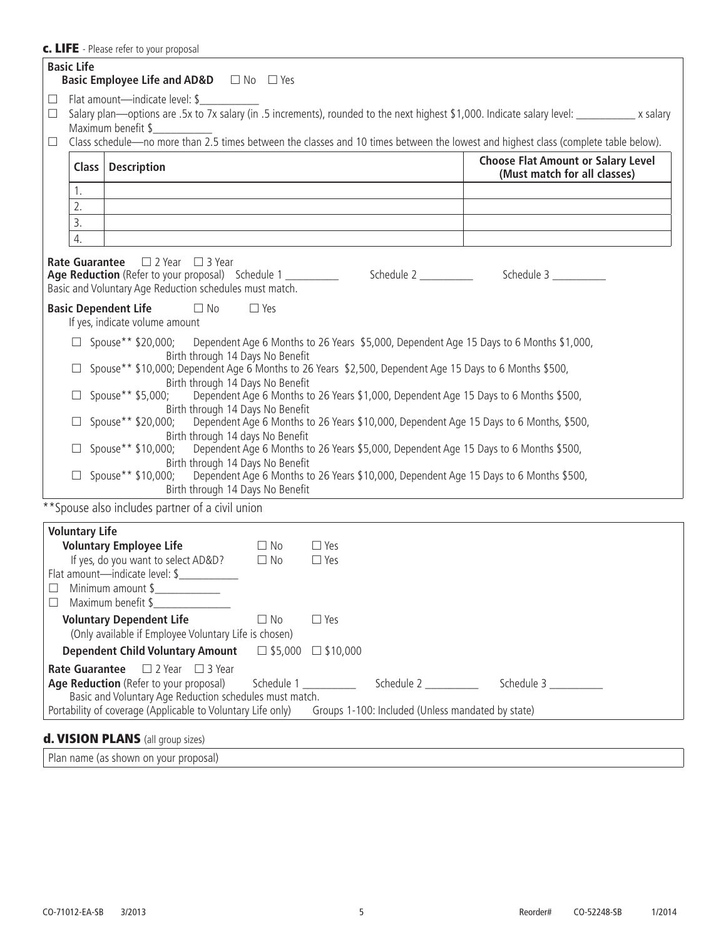#### c. LIFE - Please refer to your proposal

|                            | <b>Basic Life</b>     | <b>Basic Employee Life and AD&amp;D</b> $\Box$ No $\Box$ Yes                                                                                                                  |                                                                                           |                          |                                                                                                                                                                                                                                                                                      |
|----------------------------|-----------------------|-------------------------------------------------------------------------------------------------------------------------------------------------------------------------------|-------------------------------------------------------------------------------------------|--------------------------|--------------------------------------------------------------------------------------------------------------------------------------------------------------------------------------------------------------------------------------------------------------------------------------|
| $\Box$<br>$\Box$<br>$\Box$ |                       | Flat amount—indicate level: \$<br>Maximum benefit \$                                                                                                                          |                                                                                           |                          | Salary plan—options are .5x to 7x salary (in .5 increments), rounded to the next highest \$1,000. Indicate salary level: ___________ x salary<br>Class schedule-no more than 2.5 times between the classes and 10 times between the lowest and highest class (complete table below). |
|                            |                       | Class   Description                                                                                                                                                           |                                                                                           |                          | <b>Choose Flat Amount or Salary Level</b><br>(Must match for all classes)                                                                                                                                                                                                            |
|                            | 1.                    |                                                                                                                                                                               |                                                                                           |                          |                                                                                                                                                                                                                                                                                      |
|                            | 2.                    |                                                                                                                                                                               | the control of the control of the control of the control of the control of the control of |                          |                                                                                                                                                                                                                                                                                      |
|                            | 3.                    |                                                                                                                                                                               |                                                                                           |                          |                                                                                                                                                                                                                                                                                      |
|                            | 4.                    |                                                                                                                                                                               |                                                                                           |                          |                                                                                                                                                                                                                                                                                      |
|                            |                       | <b>Rate Guarantee</b> $\Box$ 2 Year $\Box$ 3 Year<br>Age Reduction (Refer to your proposal) Schedule 1 ___________<br>Basic and Voluntary Age Reduction schedules must match. |                                                                                           |                          |                                                                                                                                                                                                                                                                                      |
|                            |                       | <b>Basic Dependent Life</b><br>$\Box$ No<br>If yes, indicate volume amount                                                                                                    | $\Box$ Yes                                                                                |                          |                                                                                                                                                                                                                                                                                      |
|                            |                       | Birth through 14 Days No Benefit                                                                                                                                              |                                                                                           |                          | $\Box$ Spouse** \$20,000; Dependent Age 6 Months to 26 Years \$5,000, Dependent Age 15 Days to 6 Months \$1,000,                                                                                                                                                                     |
|                            |                       | Spouse** \$10,000; Dependent Age 6 Months to 26 Years \$2,500, Dependent Age 15 Days to 6 Months \$500,<br>Birth through 14 Days No Benefit                                   |                                                                                           |                          |                                                                                                                                                                                                                                                                                      |
|                            |                       | Spouse** \$5,000;<br>Birth through 14 Days No Benefit                                                                                                                         |                                                                                           |                          | Dependent Age 6 Months to 26 Years \$1,000, Dependent Age 15 Days to 6 Months \$500,                                                                                                                                                                                                 |
|                            |                       | Birth through 14 days No Benefit                                                                                                                                              |                                                                                           |                          | Spouse** \$20,000; Dependent Age 6 Months to 26 Years \$10,000, Dependent Age 15 Days to 6 Months, \$500,                                                                                                                                                                            |
|                            |                       | Spouse** \$10,000;<br>Birth through 14 Days No Benefit                                                                                                                        |                                                                                           |                          | Dependent Age 6 Months to 26 Years \$5,000, Dependent Age 15 Days to 6 Months \$500,                                                                                                                                                                                                 |
|                            |                       | Birth through 14 Days No Benefit                                                                                                                                              |                                                                                           |                          | □ Spouse** \$10,000; Dependent Age 6 Months to 26 Years \$10,000, Dependent Age 15 Days to 6 Months \$500,                                                                                                                                                                           |
|                            |                       | ** Spouse also includes partner of a civil union                                                                                                                              |                                                                                           |                          |                                                                                                                                                                                                                                                                                      |
|                            | <b>Voluntary Life</b> | <b>Voluntary Employee Life</b><br>If yes, do you want to select AD&D?<br>Flat amount-indicate level: \$                                                                       | $\square$ No<br>$\square$ No                                                              | $\Box$ Yes<br>$\Box$ Yes |                                                                                                                                                                                                                                                                                      |
|                            |                       | $\Box$ Minimum amount \$<br>Maximum benefit \$                                                                                                                                |                                                                                           |                          |                                                                                                                                                                                                                                                                                      |
|                            |                       | <b>Voluntary Dependent Life</b><br>(Only available if Employee Voluntary Life is chosen)                                                                                      | $\Box$ No                                                                                 | $\Box$ Yes               |                                                                                                                                                                                                                                                                                      |
|                            |                       | <b>Dependent Child Voluntary Amount</b>                                                                                                                                       | $\Box$ \$5,000                                                                            | $\Box$ \$10,000          |                                                                                                                                                                                                                                                                                      |
|                            | <b>Rate Guarantee</b> | $\Box$ 2 Year $\Box$ 3 Year<br>Age Reduction (Refer to your proposal)                                                                                                         | Schedule 1                                                                                |                          |                                                                                                                                                                                                                                                                                      |
|                            |                       | Basic and Voluntary Age Reduction schedules must match.<br>Portability of coverage (Applicable to Voluntary Life only)                                                        |                                                                                           |                          | Groups 1-100: Included (Unless mandated by state)                                                                                                                                                                                                                                    |

# d. VISION PLANS (all group sizes)

Plan name (as shown on your proposal)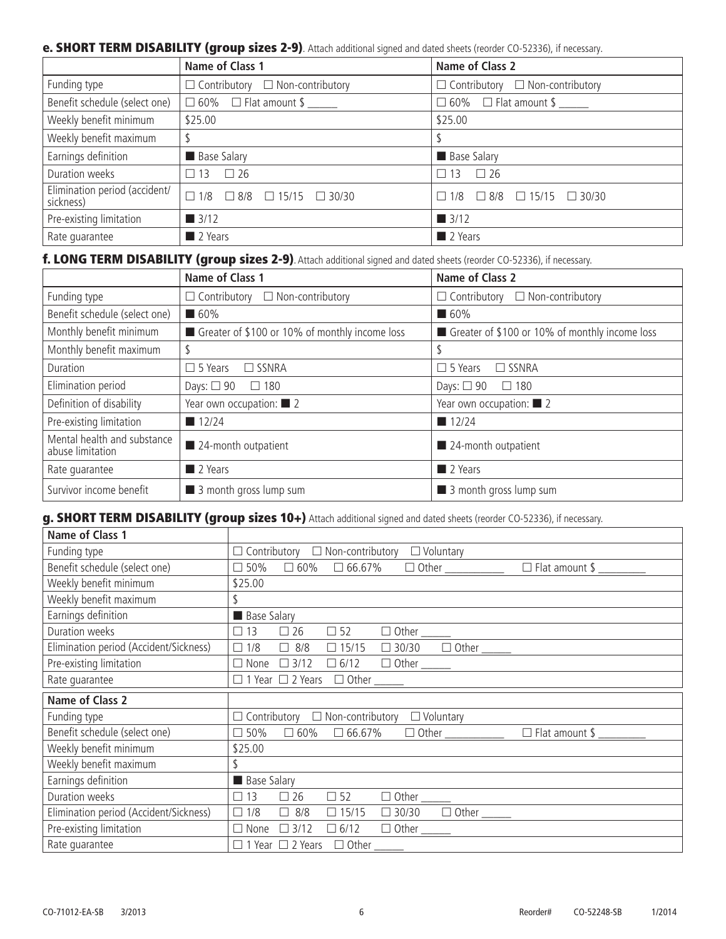#### e. SHORT TERM DISABILITY (group sizes 2-9). Attach additional signed and dated sheets (reorder CO-52336), if necessary.

|                                            | Name of Class 1                                 | Name of Class 2                                 |  |  |  |
|--------------------------------------------|-------------------------------------------------|-------------------------------------------------|--|--|--|
| Funding type                               | $\Box$ Contributory $\Box$ Non-contributory     | $\Box$ Contributory $\Box$ Non-contributory     |  |  |  |
| Benefit schedule (select one)              | $\Box$ 60% $\Box$ Flat amount \$                | $\Box$ 60% $\Box$ Flat amount \$                |  |  |  |
| Weekly benefit minimum                     | \$25.00                                         | \$25.00                                         |  |  |  |
| Weekly benefit maximum                     |                                                 |                                                 |  |  |  |
| Earnings definition                        | <b>Base Salary</b>                              | <b>Base Salary</b>                              |  |  |  |
| Duration weeks                             | $\Box$ 13 $\Box$ 26                             | $\square$ 26<br>13<br>П                         |  |  |  |
| Elimination period (accident/<br>sickness) | $\Box$ 1/8 $\Box$ 8/8 $\Box$ 15/15 $\Box$ 30/30 | $\Box$ 1/8 $\Box$ 8/8 $\Box$ 15/15 $\Box$ 30/30 |  |  |  |
| Pre-existing limitation                    | $\blacksquare$ 3/12                             | $\blacksquare$ 3/12                             |  |  |  |
| Rate quarantee                             | 2 Years                                         | 2 Years                                         |  |  |  |

f. LONG TERM DISABILITY (group sizes 2-9). Attach additional signed and dated sheets (reorder CO-52336), if necessary.

|                                                 | Name of Class 1                                | Name of Class 2                                |
|-------------------------------------------------|------------------------------------------------|------------------------------------------------|
| Funding type                                    | $\Box$ Non-contributory<br>$\Box$ Contributory | $\Box$ Non-contributory<br>$\Box$ Contributory |
| Benefit schedule (select one)                   | $\blacksquare$ 60%                             | $\blacksquare$ 60%                             |
| Monthly benefit minimum                         | Greater of \$100 or 10% of monthly income loss | Greater of \$100 or 10% of monthly income loss |
| Monthly benefit maximum                         |                                                | S                                              |
| Duration                                        | $\Box$ 5 Years<br>$\Box$ SSNRA                 | $\Box$ 5 Years<br>$\Box$ SSNRA                 |
| Elimination period                              | Days: $\Box$ 90<br>$\Box$ 180                  | Days: $\Box$ 90<br>$\Box$ 180                  |
| Definition of disability                        | Year own occupation: $\Box$ 2                  | Year own occupation: $\blacksquare$ 2          |
| Pre-existing limitation                         | $\blacksquare$ 12/24                           | 12/24                                          |
| Mental health and substance<br>abuse limitation | 24-month outpatient                            | 24-month outpatient                            |
| Rate quarantee                                  | 2 Years                                        | 2 Years                                        |
| Survivor income benefit                         | 3 month gross lump sum                         | 3 month gross lump sum                         |

g. SHORT TERM DISABILITY (group sizes 10+) Attach additional signed and dated sheets (reorder CO-52336), if necessary.

| Name of Class 1                        |                                                                                                                       |
|----------------------------------------|-----------------------------------------------------------------------------------------------------------------------|
| Funding type                           | $\Box$ Contributory $\Box$ Non-contributory<br>$\Box$ Voluntary                                                       |
| Benefit schedule (select one)          | $\Box$ Flat amount \$ $\_\_\_\_\_\_\_\_\_\_\_\_\$<br>$\Box$ 60% $\Box$ 66.67%<br>□ 50%                                |
| Weekly benefit minimum                 | \$25.00                                                                                                               |
| Weekly benefit maximum                 | \$                                                                                                                    |
| Earnings definition                    | <b>Base Salary</b>                                                                                                    |
| Duration weeks                         | $\Box$ 13<br>$\Box$ 52<br>$\Box$ 26<br>$\Box \hspace{0.1cm} \text{Other} \hspace{0.05cm} \underline{\hspace{0.05cm}}$ |
| Elimination period (Accident/Sickness) | $\boxed{\Box 30/30}$<br>$\Box$ 15/15<br>$\Box$ 1/8<br>$\Box$ 8/8                                                      |
| Pre-existing limitation                | $\Box$ None $\Box$ 3/12                                                                                               |
| Rate guarantee                         | $\Box$ 1 Year $\Box$ 2 Years                                                                                          |
| Name of Class 2                        |                                                                                                                       |
| Funding type                           | $\Box$ Contributory $\Box$ Non-contributory<br>$\Box$ Voluntary                                                       |
| Benefit schedule (select one)          | □ 50%<br>$\Box$ 60% $\Box$ 66.67%                                                                                     |
| Weekly benefit minimum                 | \$25.00                                                                                                               |
| Weekly benefit maximum                 | \$                                                                                                                    |
| Earnings definition                    | <b>Base Salary</b>                                                                                                    |
| Duration weeks                         | $\square$ 26<br>$\Box$ 52<br>$\Box$ 13<br>$\Box \text{ Other} \underline{\hspace{1cm}}$                               |
| Elimination period (Accident/Sickness) | $\Box$ 1/8<br>$\Box$ 8/8<br>$\Box$ 15/15<br>$\Box$ 30/30                                                              |
| Pre-existing limitation                | $\Box$ 6/12<br>$\Box$ None<br>$\Box$ 3/12                                                                             |
| Rate quarantee                         | $\Box$ 1 Year $\Box$ 2 Years                                                                                          |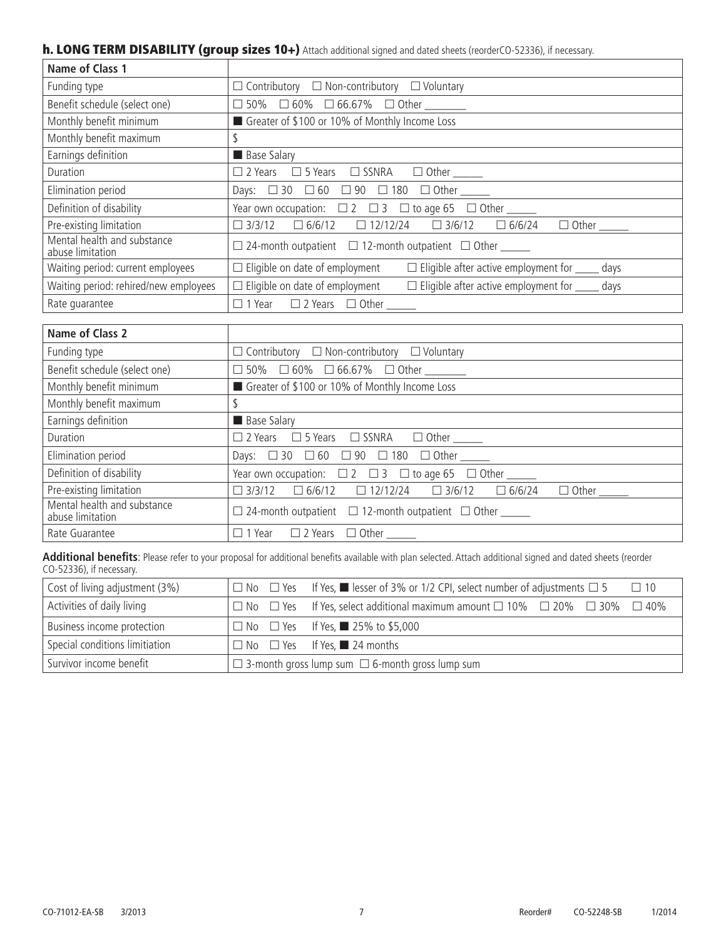# h. LONG TERM DISABILITY (group sizes 10+) Attach additional signed and dated sheets (reorderCO-52336), if necessary.

| Name of Class 1                                 |                                                                                                  |
|-------------------------------------------------|--------------------------------------------------------------------------------------------------|
| Funding type                                    | $\Box$ Contributory $\Box$ Non-contributory $\Box$ Voluntary                                     |
| Benefit schedule (select one)                   | $\Box$ 50% $\Box$ 60% $\Box$ 66.67% $\Box$ Other _______                                         |
| Monthly benefit minimum                         | Greater of \$100 or 10% of Monthly Income Loss                                                   |
| Monthly benefit maximum                         |                                                                                                  |
| Earnings definition                             | <b>Base Salary</b>                                                                               |
| Duration                                        | $\Box$ 2 Years $\Box$ 5 Years $\Box$ SSNRA $\Box$ Other ______                                   |
| Elimination period                              | Days: □ 30 □ 60 □ 90 □ 180 □ Other _____                                                         |
| Definition of disability                        | Year own occupation: $\Box$ 2 $\Box$ 3 $\Box$ to age 65 $\Box$ Other ______                      |
| Pre-existing limitation                         | $\Box$ 3/3/12 $\Box$ 6/6/12 $\Box$ 12/12/24 $\Box$ 3/6/12 $\Box$ 6/6/24 $\Box$ Other             |
| Mental health and substance<br>abuse limitation | $\Box$ 24-month outpatient $\Box$ 12-month outpatient $\Box$ Other                               |
| Waiting period: current employees               | $\Box$ Eligible on date of employment<br>$\Box$ Eligible after active employment for ______ days |
| Waiting period: rehired/new employees           | $\Box$ Eligible on date of employment<br>$\Box$ Eligible after active employment for days        |
| Rate quarantee                                  | $\Box$ 1 Year $\Box$ 2 Years $\Box$ Other                                                        |

| Name of Class 2                                 |                                                                                         |
|-------------------------------------------------|-----------------------------------------------------------------------------------------|
| Funding type                                    | $\Box$ Contributory $\Box$ Non-contributory $\Box$ Voluntary                            |
| Benefit schedule (select one)                   | $\Box$ 50% $\Box$ 60% $\Box$ 66.67% $\Box$ Other ________                               |
| Monthly benefit minimum                         | Greater of \$100 or 10% of Monthly Income Loss                                          |
| Monthly benefit maximum                         |                                                                                         |
| Earnings definition                             | <b>Base Salary</b>                                                                      |
| Duration                                        | $\Box$ 2 Years $\Box$ 5 Years $\Box$ SSNRA $\Box$ Other ______                          |
| Elimination period                              | Days: $□ 30 □ 60 □ 90 □ 180 □ 0$ ther ______                                            |
| Definition of disability                        | Year own occupation: $\Box$ 2 $\Box$ 3 $\Box$ to age 65 $\Box$ Other ______             |
| Pre-existing limitation                         | $\Box 3/3/12 \quad \Box 6/6/12 \quad \Box 12/12/24 \quad \Box 3/6/12 \quad \Box 6/6/24$ |
| Mental health and substance<br>abuse limitation | $\Box$ 24-month outpatient $\Box$ 12-month outpatient $\Box$ Other                      |
| Rate Guarantee                                  | $\Box$ 1 Year $\Box$ 2 Years $\Box$ Other                                               |

**Additional benefits**: Please refer to your proposal for additional benefits available with plan selected. Attach additional signed and dated sheets (reorder CO-52336), if necessary.

| Cost of living adjustment (3%) |                                                             | $\Box$ No $\Box$ Yes If Yes, $\blacksquare$ lesser of 3% or 1/2 CPI, select number of adjustments $\Box$ 5<br>$\Box$ 10 |  |  |  |
|--------------------------------|-------------------------------------------------------------|-------------------------------------------------------------------------------------------------------------------------|--|--|--|
| Activities of daily living     |                                                             | $\Box$ No $\Box$ Yes If Yes, select additional maximum amount $\Box$ 10% $\Box$ 20% $\Box$ 30% $\Box$ 40%               |  |  |  |
| Business income protection     |                                                             | $\Box$ No $\Box$ Yes If Yes, 25% to \$5,000                                                                             |  |  |  |
| Special conditions limitiation |                                                             | $\Box$ No $\Box$ Yes If Yes, 24 months                                                                                  |  |  |  |
| Survivor income benefit        | $\Box$ 3-month gross lump sum $\Box$ 6-month gross lump sum |                                                                                                                         |  |  |  |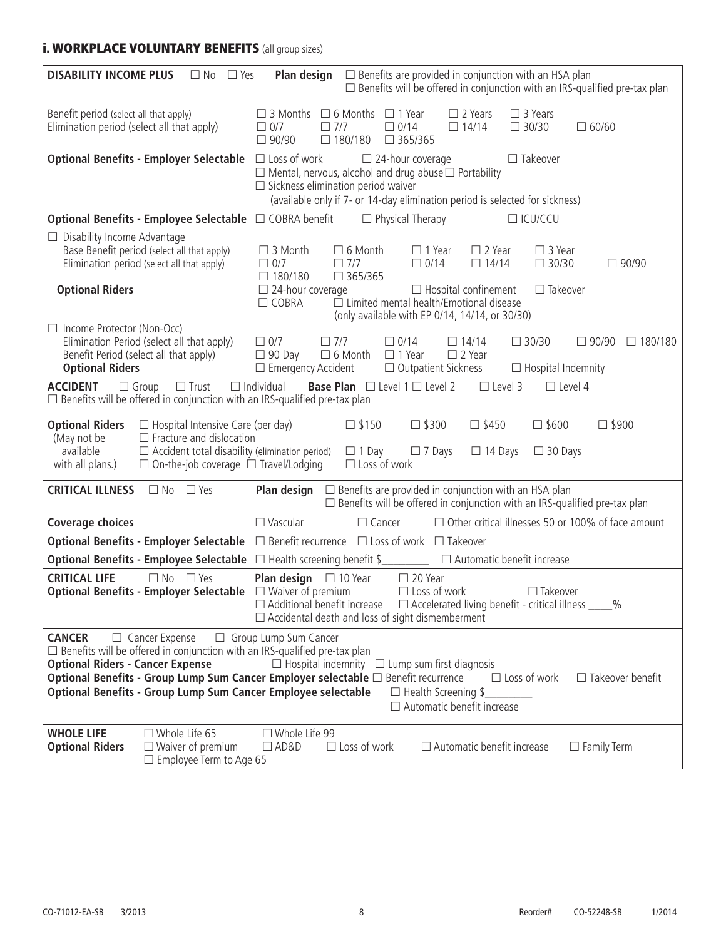# **i. WORKPLACE VOLUNTARY BENEFITS** (all group sizes)

| <b>DISABILITY INCOME PLUS</b><br>Plan design<br>$\Box$ Benefits are provided in conjunction with an HSA plan<br>$\Box$ No $\Box$ Yes<br>$\Box$ Benefits will be offered in conjunction with an IRS-qualified pre-tax plan                                                                                                                                                                                                                                                                                                                              |                                                                                                                                                                                          |                                                                                                                                                                                                |                                                        |                                                            |                                                                                                                                                             |                                                  |                                                                                   |
|--------------------------------------------------------------------------------------------------------------------------------------------------------------------------------------------------------------------------------------------------------------------------------------------------------------------------------------------------------------------------------------------------------------------------------------------------------------------------------------------------------------------------------------------------------|------------------------------------------------------------------------------------------------------------------------------------------------------------------------------------------|------------------------------------------------------------------------------------------------------------------------------------------------------------------------------------------------|--------------------------------------------------------|------------------------------------------------------------|-------------------------------------------------------------------------------------------------------------------------------------------------------------|--------------------------------------------------|-----------------------------------------------------------------------------------|
| Benefit period (select all that apply)<br>Elimination period (select all that apply)                                                                                                                                                                                                                                                                                                                                                                                                                                                                   |                                                                                                                                                                                          | $\Box$ 3 Months $\Box$ 6 Months<br>$\Box$ 0/7<br>$\Box$ 7/7<br>$\Box$ 90/90                                                                                                                    | $\Box$ 180/180                                         | $\Box$ 1 Year<br>$\Box$ 0/14<br>$\Box$ 365/365             | $\Box$ 2 Years<br>$\Box$ 14/14                                                                                                                              | $\Box$ 3 Years<br>$\Box$ 30/30                   | $\Box$ 60/60                                                                      |
|                                                                                                                                                                                                                                                                                                                                                                                                                                                                                                                                                        | <b>Optional Benefits - Employer Selectable</b> □ Loss of work                                                                                                                            | $\Box$ Mental, nervous, alcohol and drug abuse $\Box$ Portability<br>$\Box$ Sickness elimination period waiver<br>(available only if 7- or 14-day elimination period is selected for sickness) |                                                        | $\Box$ 24-hour coverage                                    |                                                                                                                                                             | $\Box$ Takeover                                  |                                                                                   |
|                                                                                                                                                                                                                                                                                                                                                                                                                                                                                                                                                        | <b>Optional Benefits - Employee Selectable</b> □ COBRA benefit                                                                                                                           |                                                                                                                                                                                                |                                                        | $\Box$ Physical Therapy                                    |                                                                                                                                                             | $\Box$ ICU/CCU                                   |                                                                                   |
| $\Box$ Disability Income Advantage<br><b>Optional Riders</b>                                                                                                                                                                                                                                                                                                                                                                                                                                                                                           | Base Benefit period (select all that apply)<br>Elimination period (select all that apply)                                                                                                | $\Box$ 3 Month<br>$\Box$ 0/7<br>$\Box$ 180/180<br>$\square$ 24-hour coverage<br>$\Box$ COBRA                                                                                                   | $\Box$ 6 Month<br>$\Box$ 7/7<br>$\Box$ 365/365         | $\Box$ 1 Year<br>$\Box$ 0/14                               | $\Box$ 2 Year<br>$\Box$ 14/14<br>$\Box$ Hospital confinement<br>□ Limited mental health/Emotional disease<br>(only available with EP 0/14, 14/14, or 30/30) | $\Box$ 3 Year<br>$\Box$ 30/30<br>$\Box$ Takeover | □ 90/90                                                                           |
| $\Box$ Income Protector (Non-Occ)<br><b>Optional Riders</b>                                                                                                                                                                                                                                                                                                                                                                                                                                                                                            | Elimination Period (select all that apply)<br>Benefit Period (select all that apply)                                                                                                     | $\Box$ 0/7<br>$\Box$ 7/7<br>$\Box$ 90 Day<br>$\Box$ Emergency Accident                                                                                                                         | $\square$ 6 Month                                      | $\Box$ 0/14<br>$\Box$ 1 Year<br>$\Box$ Outpatient Sickness | $\Box$ 14/14<br>$\Box$ 2 Year                                                                                                                               | $\Box$ 30/30<br>$\Box$ Hospital Indemnity        | $\Box$ 90/90<br>$\Box$ 180/180                                                    |
| <b>ACCIDENT</b>                                                                                                                                                                                                                                                                                                                                                                                                                                                                                                                                        | $\Box$ Trust<br>$\Box$ Group<br>$\Box$ Benefits will be offered in conjunction with an IRS-qualified pre-tax plan                                                                        | $\Box$ Individual                                                                                                                                                                              |                                                        | <b>Base Plan</b> $\Box$ Level 1 $\Box$ Level 2             | $\Box$ Level 3                                                                                                                                              | $\Box$ Level 4                                   |                                                                                   |
| <b>Optional Riders</b><br>(May not be<br>available<br>with all plans.)                                                                                                                                                                                                                                                                                                                                                                                                                                                                                 | $\Box$ Hospital Intensive Care (per day)<br>$\Box$ Fracture and dislocation<br>$\Box$ Accident total disability (elimination period)<br>$\Box$ On-the-job coverage $\Box$ Travel/Lodging |                                                                                                                                                                                                | $\square$ \$150<br>$\Box$ 1 Day<br>$\Box$ Loss of work | $\square$ \$300<br>$\Box$ 7 Days                           | $\square$ \$450<br>$\Box$ 14 Days                                                                                                                           | $\square$ \$600<br>$\Box$ 30 Days                | $\square$ \$900                                                                   |
| <b>CRITICAL ILLNESS</b>                                                                                                                                                                                                                                                                                                                                                                                                                                                                                                                                | $\Box$ No<br>$\Box$ Yes                                                                                                                                                                  | Plan design                                                                                                                                                                                    |                                                        |                                                            | $\Box$ Benefits are provided in conjunction with an HSA plan                                                                                                |                                                  | $\Box$ Benefits will be offered in conjunction with an IRS-qualified pre-tax plan |
| <b>Coverage choices</b>                                                                                                                                                                                                                                                                                                                                                                                                                                                                                                                                |                                                                                                                                                                                          | $\Box$ Vascular                                                                                                                                                                                | $\Box$ Cancer                                          |                                                            |                                                                                                                                                             |                                                  | $\Box$ Other critical illnesses 50 or 100% of face amount                         |
|                                                                                                                                                                                                                                                                                                                                                                                                                                                                                                                                                        | Optional Benefits - Employer Selectable □ Benefit recurrence □ Loss of work □ Takeover                                                                                                   |                                                                                                                                                                                                |                                                        |                                                            |                                                                                                                                                             |                                                  |                                                                                   |
|                                                                                                                                                                                                                                                                                                                                                                                                                                                                                                                                                        | Optional Benefits - Employee Selectable □ Health screening benefit \$<br>□ Automatic benefit increase                                                                                    |                                                                                                                                                                                                |                                                        |                                                            |                                                                                                                                                             |                                                  |                                                                                   |
| <b>CRITICAL LIFE</b>                                                                                                                                                                                                                                                                                                                                                                                                                                                                                                                                   | $\Box$ No $\Box$ Yes<br>Optional Benefits - Employer Selectable $\Box$ Waiver of premium                                                                                                 | <b>Plan design</b> $\Box$ 10 Year<br>$\Box$ Additional benefit increase $\Box$ Accelerated living benefit - critical illness _____%<br>$\Box$ Accidental death and loss of sight dismemberment |                                                        | $\Box$ 20 Year<br>$\Box$ Loss of work                      |                                                                                                                                                             | $\Box$ Takeover                                  |                                                                                   |
| □ Group Lump Sum Cancer<br>$\Box$ Cancer Expense<br><b>CANCER</b><br>$\Box$ Benefits will be offered in conjunction with an IRS-qualified pre-tax plan<br><b>Optional Riders - Cancer Expense</b><br>$\Box$ Hospital indemnity $\Box$ Lump sum first diagnosis<br>Optional Benefits - Group Lump Sum Cancer Employer selectable $\Box$ Benefit recurrence<br>$\Box$ Loss of work<br>$\Box$ Takeover benefit<br><b>Optional Benefits - Group Lump Sum Cancer Employee selectable</b><br>$\Box$ Health Screening \$<br>$\Box$ Automatic benefit increase |                                                                                                                                                                                          |                                                                                                                                                                                                |                                                        |                                                            |                                                                                                                                                             |                                                  |                                                                                   |
| <b>WHOLE LIFE</b><br><b>Optional Riders</b>                                                                                                                                                                                                                                                                                                                                                                                                                                                                                                            | $\Box$ Whole Life 65<br>$\Box$ Waiver of premium<br>$\Box$ Employee Term to Age 65                                                                                                       | $\Box$ Whole Life 99<br>$\Box$ AD&D                                                                                                                                                            | $\Box$ Loss of work                                    |                                                            | $\Box$ Automatic benefit increase                                                                                                                           |                                                  | $\Box$ Family Term                                                                |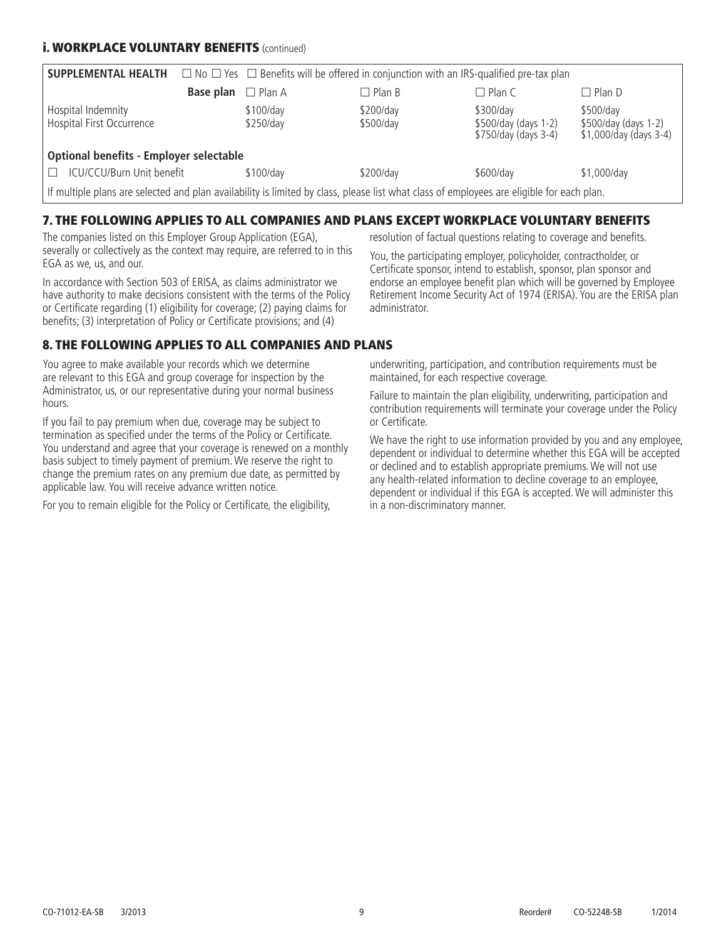### **i. WORKPLACE VOLUNTARY BENEFITS (continued)**

| <b>SUPPLEMENTAL HEALTH</b>                                                                                                                |           | $\Box$ No $\Box$ Yes $\Box$ Benefits will be offered in conjunction with an IRS-qualified pre-tax plan |                        |                                                           |                                                             |  |
|-------------------------------------------------------------------------------------------------------------------------------------------|-----------|--------------------------------------------------------------------------------------------------------|------------------------|-----------------------------------------------------------|-------------------------------------------------------------|--|
|                                                                                                                                           | Base plan | $\Box$ Plan A                                                                                          | $\Box$ Plan B          | $\Box$ Plan C                                             | $\Box$ Plan D                                               |  |
| Hospital Indemnity<br>Hospital First Occurrence                                                                                           |           | \$100/day<br>\$250/day                                                                                 | \$200/day<br>\$500/day | \$300/day<br>\$500/day (days 1-2)<br>\$750/day (days 3-4) | \$500/day<br>\$500/day (days 1-2)<br>\$1,000/day (days 3-4) |  |
| Optional benefits - Employer selectable                                                                                                   |           |                                                                                                        |                        |                                                           |                                                             |  |
| ICU/CCU/Burn Unit benefit<br>$\Box$                                                                                                       |           | \$100/day                                                                                              | \$200/day              | \$600/day                                                 | \$1,000/day                                                 |  |
| If multiple plans are selected and plan availability is limited by class, please list what class of employees are eligible for each plan. |           |                                                                                                        |                        |                                                           |                                                             |  |

### 7. THE FOLLOWING APPLIES TO ALL COMPANIES AND PLANS EXCEPT WORKPLACE VOLUNTARY BENEFITS

The companies listed on this Employer Group Application (EGA), severally or collectively as the context may require, are referred to in this EGA as we, us, and our.

In accordance with Section 503 of ERISA, as claims administrator we have authority to make decisions consistent with the terms of the Policy or Certificate regarding (1) eligibility for coverage; (2) paying claims for benefits; (3) interpretation of Policy or Certificate provisions; and (4)

# 8. THE FOLLOWING APPLIES TO ALL COMPANIES AND PLANS

You agree to make available your records which we determine are relevant to this EGA and group coverage for inspection by the Administrator, us, or our representative during your normal business hours.

If you fail to pay premium when due, coverage may be subject to termination as specified under the terms of the Policy or Certificate. You understand and agree that your coverage is renewed on a monthly basis subject to timely payment of premium. We reserve the right to change the premium rates on any premium due date, as permitted by applicable law. You will receive advance written notice.

For you to remain eligible for the Policy or Certificate, the eligibility,

resolution of factual questions relating to coverage and benefits.

You, the participating employer, policyholder, contractholder, or Certificate sponsor, intend to establish, sponsor, plan sponsor and endorse an employee benefit plan which will be governed by Employee Retirement Income Security Act of 1974 (ERISA). You are the ERISA plan administrator.

underwriting, participation, and contribution requirements must be maintained, for each respective coverage.

Failure to maintain the plan eligibility, underwriting, participation and contribution requirements will terminate your coverage under the Policy or Certificate.

We have the right to use information provided by you and any employee, dependent or individual to determine whether this EGA will be accepted or declined and to establish appropriate premiums. We will not use any health-related information to decline coverage to an employee, dependent or individual if this EGA is accepted. We will administer this in a non-discriminatory manner.